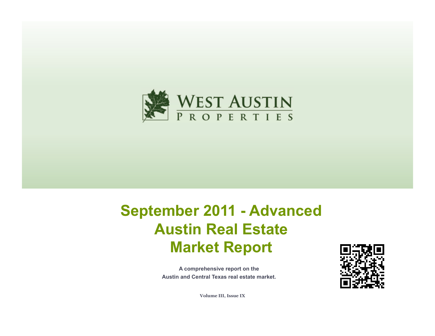

# **September 2011 - Advanced Austin Real Estate Market Report**

**A comprehensive report on the Austin and Central Texas real estate market.**



**Volume III, Issue IX**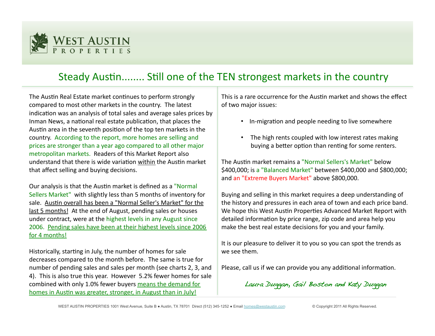

# Steady Austin........ Still one of the TEN strongest markets in the country

The Austin Real Estate market continues to perform strongly compared to most other markets in the country. The latest indication was an analysis of total sales and average sales prices by Inman News, a national real estate publication, that places the Austin area in the seventh position of the top ten markets in the country. According to the report, more homes are selling and prices are stronger than a year ago compared to all other major metropolitan markets. Readers of this Market Report also understand that there is wide variation within the Austin market that affect selling and buying decisions.

Our analysis is that the Austin market is defined as a "Normal" Sellers Market" with slightly less than 5 months of inventory for sale. Austin overall has been a "Normal Seller's Market" for the last 5 months! At the end of August, pending sales or houses under contract, were at the highest levels in any August since 2006. Pending sales have been at their highest levels since 2006 for 4 months!

Historically, starting in July, the number of homes for sale decreases compared to the month before. The same is true for number of pending sales and sales per month (see charts 2, 3, and 4). This is also true this year. However 5.2% fewer homes for sale combined with only 1.0% fewer buyers means the demand for homes in Austin was greater, stronger, in August than in July!

This is a rare occurrence for the Austin market and shows the effect of two major issues:

- In-migration and people needing to live somewhere
- The high rents coupled with low interest rates making buying a better option than renting for some renters.

The Austin market remains a "Normal Sellers's Market" below \$400,000; is a "Balanced Market" between \$400,000 and \$800,000; and an "Extreme Buyers Market" above \$800,000.

Buying and selling in this market requires a deep understanding of the history and pressures in each area of town and each price band. We hope this West Austin Properties Advanced Market Report with detailed information by price range, zip code and area help you make the best real estate decisions for you and your family.

It is our pleasure to deliver it to you so you can spot the trends as we see them.

Please, call us if we can provide you any additional information.

Laura Duggan, Gail Boston and Katy Duggan!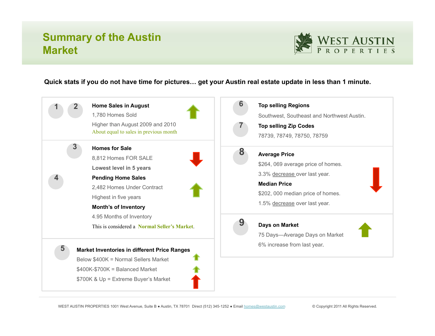## **Summary of the Austin Market**



#### **Quick stats if you do not have time for pictures… get your Austin real estate update in less than 1 minute.**



WEST AUSTIN PROPERTIES 1001 West Avenue, Suite B · Austin, TX 78701 Direct (512) 345-1252 · Email homes@westaustin.com © Copyright 2011 All Rights Reserved.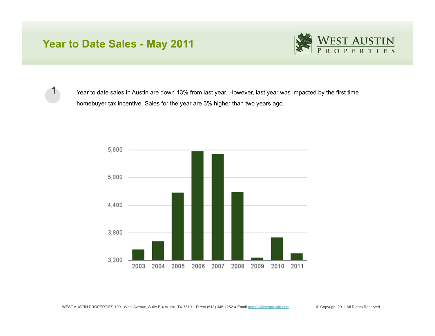### **Year to Date Sales - May 2011**



**1**

Year to date sales in Austin are down 13% from last year. However, last year was impacted by the first time homebuyer tax incentive. Sales for the year are 3% higher than two years ago.

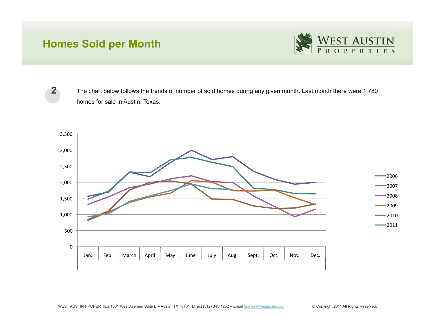### **Homes Sold per Month**



**2**

The chart below follows the trends of number of sold homes during any given month. Last month there were 1,780 homes for sale in Austin, Texas.

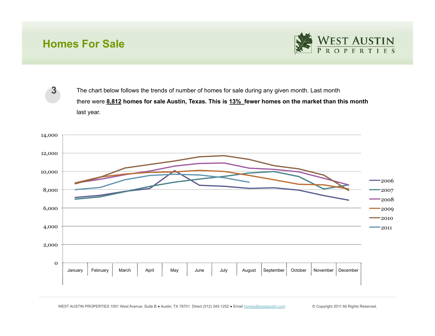### **Homes For Sale**

**3**



The chart below follows the trends of number of homes for sale during any given month. Last month there were **8,812 homes for sale Austin, Texas. This is 13% fewer homes on the market than this month**  last year.

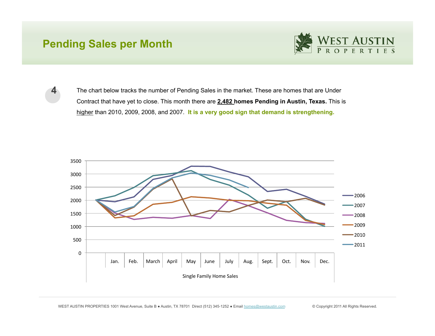#### **Pending Sales per Month**

**4**



The chart below tracks the number of Pending Sales in the market. These are homes that are Under Contract that have yet to close. This month there are **2,482 homes Pending in Austin, Texas.** This is higher than 2010, 2009, 2008, and 2007. **It is a very good sign that demand is strengthening.**

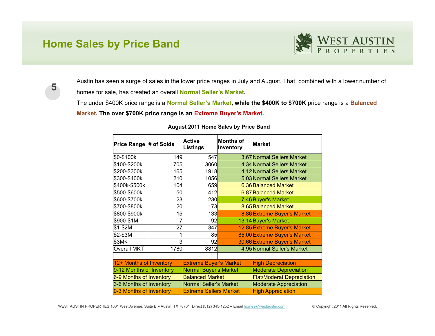#### **Home Sales by Price Band**





Austin has seen a surge of sales in the lower price ranges in July and August. That, combined with a lower number of homes for sale, has created an overall **Normal Seller's Market.** 

The under \$400K price range is a **Normal Seller's Market, while the \$400K to \$700K** price range is a **Balanced Market. The over \$700K price range is an Extreme Buyer's Market.**

| Price Range # of Solds   |      | <b>Active</b><br><b>Listings</b> | <b>Months of</b><br>Inventory | Market                           |  |
|--------------------------|------|----------------------------------|-------------------------------|----------------------------------|--|
| \$0-\$100k               | 149  | 547                              |                               | 3.67 Normal Sellers Market       |  |
| \$100-\$200k             | 705  | 3060                             |                               | 4.34 Normal Sellers Market       |  |
| \$200-\$300k             | 165  | 1918                             |                               | 4.12 Normal Sellers Market       |  |
| \$300-\$400k             | 210  | 1056                             |                               | 5.03 Normal Sellers Market       |  |
| \$400k-\$500k            | 104  | 659                              |                               | 6.36 Balanced Market             |  |
| \$500-\$600k             | 50   | 412                              |                               | 6.87 Balanced Market             |  |
| \$600-\$700k             | 23   | 230                              |                               | 7.46 Buyer's Market              |  |
| \$700-\$800k             | 2이   | 173                              |                               | 8.65 Balanced Market             |  |
| \$800-\$900k             | 15   | 133                              |                               | 8.86 Extreme Buyer's Market      |  |
| \$900-\$1M               | 7    | 92                               |                               | 13.14 Buyer's Market             |  |
| \$1-\$2M                 | 27   | 347                              |                               | 12.85 Extreme Buyer's Market     |  |
| \$2-\$3M                 |      | 85                               |                               | 85.00 Extreme Buyer's Market     |  |
| \$3M<                    | 3    | 92                               |                               | 30.66 Extreme Buyer's Market     |  |
| <b>Overall MKT</b>       | 1780 | 8812                             |                               | 4.95 Normal Seller's Market      |  |
|                          |      |                                  |                               |                                  |  |
| 12+ Months of Inventory  |      | <b>Extreme Buyer's Market</b>    |                               | <b>High Depreciation</b>         |  |
| 9-12 Months of Inventory |      | <b>Normal Buyer's Market</b>     |                               | <b>Moderate Depreciation</b>     |  |
| 6-9 Months of Inventory  |      | <b>Balanced Market</b>           |                               | <b>Flat/Moderat Depreciation</b> |  |
| 3-6 Months of Inventory  |      | <b>Normal Seller's Market</b>    |                               | <b>Moderate Appreciation</b>     |  |
| 0-3 Months of Inventory  |      | <b>Extreme Sellers Market</b>    |                               | <b>High Appreciation</b>         |  |

#### **August 2011 Home Sales by Price Band**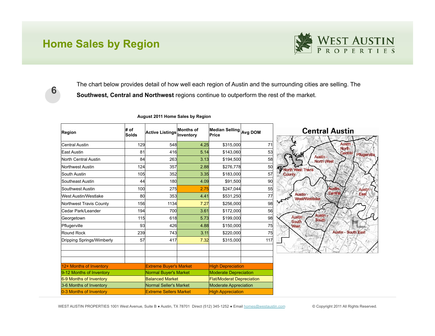#### **Home Sales by Region**



The chart below provides detail of how well each region of Austin and the surrounding cities are selling. The **Southwest, Central and Northwest** regions continue to outperform the rest of the market.

| Region                      | $#$ of<br>Solds               | <b>Active Listings</b>        | <b>Months of</b><br><b>Inventory</b> | Median Selling Avg DOM<br>Price |     |
|-----------------------------|-------------------------------|-------------------------------|--------------------------------------|---------------------------------|-----|
| <b>Central Austin</b>       | 129                           | 548                           | 4.25                                 | \$315,000                       | 71  |
| East Austin                 | 81                            | 416                           | 5.14                                 | \$143,060                       | 53  |
| <b>North Central Austin</b> | 84                            | 263                           | 3.13                                 | \$194,500                       | 58  |
| <b>Northwest Austin</b>     | 124                           | 357                           | 2.88                                 | \$276,778                       | 50  |
| South Austin                | 105                           | 352                           | 3.35                                 | \$183,000                       | 57  |
| Southeast Austin            | 44                            | <b>180</b>                    | 4.09                                 | \$91,500                        | 90  |
| Southwest Austin            | 100                           | 275                           | 2.75                                 | \$247,044                       | 55  |
| <b>West Austin/Westlake</b> | 80                            | 353                           | 4.41                                 | \$531,250                       | 77  |
| Northwest Travis County     | 156                           | 1134                          | 7.27                                 | \$256,000                       | 98  |
| Cedar Park/Leander          | 194                           | <b>700</b>                    | 3.61                                 | \$172,000                       | 56  |
| Georgetown                  | 115                           | 618                           | 5.73                                 | \$199,000                       | 98  |
| Pflugerville                | 93                            | 426                           | 4.88                                 | \$150,000                       | 75  |
| <b>Round Rock</b>           | 239                           | 743                           | 3.11                                 | \$220,000                       | 75  |
| Dripping Springs/Wimberly   | 57                            | 417                           | 7.32                                 | \$315,000                       | 117 |
|                             |                               |                               |                                      |                                 |     |
| 12+ Months of Inventory     |                               | <b>Extreme Buyer's Market</b> |                                      | <b>High Depreciation</b>        |     |
| 9-12 Months of Inventory    | Normal Buyer's Market         |                               | <b>Moderate Depreciation</b>         |                                 |     |
| 6-9 Months of Inventory     | <b>Balanced Market</b>        |                               | <b>Flat/Moderat Depreciation</b>     |                                 |     |
| 3-6 Months of Inventory     | Normal Seller's Market        |                               | <b>Moderate Appreciation</b>         |                                 |     |
| 0-3 Months of Inventory     | <b>Extreme Sellers Market</b> |                               | <b>High Appreciation</b>             |                                 |     |

#### **August 2011 Home Sales by Region**

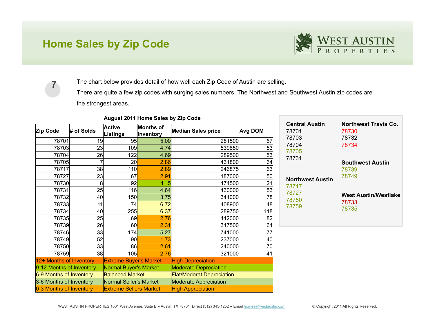### **Home Sales by Zip Code**



**7** The chart below provides detail of how well each Zip Code of Austin are selling. There are quite a few zip codes with surging sales numbers. The Northwest and Southwest Austin zip codes are

the strongest areas.

| Zip Code                 | # of Solds | <b>Active</b><br>Listings     | Months of<br>Inventory | <b>Median Sales price</b>        | Avg DOM |
|--------------------------|------------|-------------------------------|------------------------|----------------------------------|---------|
| 78701                    | 19         | 95                            | 5.00                   | 281500                           | 67      |
| 78703                    | 23         | 109                           | 4.74                   | 539850                           | 53      |
| 78704                    | 26         | 122                           | 4.69                   | 289500                           | 53      |
| 78705                    |            | 20                            | 2.86                   | 431800                           | 64      |
| 78717                    | 38         | 110                           | 2.89                   | 246875                           | 63      |
| 78727                    | 23         | 67                            | 2.91                   | 187000                           | 50      |
| 78730                    | 8          | 92                            | 11.5                   | 474500                           | 21      |
| 78731                    | 25         | 116                           | 4.64                   | 430000                           | 53      |
| 78732                    | 40         | 150                           | 3.75                   | 341000                           | 78      |
| 78733                    | 11         | 74                            | 6.72                   | 408900                           | 48      |
| 78734                    | 40         | 255                           | 6.37                   | 289750                           | 118     |
| 78735                    | 25         | 69                            | 2.76                   | 412000                           | 82      |
| 78739                    | 26         | 60                            | 2.31                   | 317500                           | 64      |
| 78746                    | 33         | 174                           | 5.27                   | 741000                           | 77      |
| 78749                    | 52         | 90                            | 1.73                   | 237000                           | 40      |
| 78750                    | 33         | 86                            | 2.61                   | 240000                           | 70      |
| 78759                    | 38         | 105                           | 2.76                   | 321000                           | 41      |
| 12+ Months of Inventory  |            | <b>Extreme Buyer's Market</b> |                        | <b>High Depreciation</b>         |         |
| 9-12 Months of Inventory |            | Normal Buyer's Market         |                        | <b>Moderate Depreciation</b>     |         |
| 6-9 Months of Inventory  |            | <b>Balanced Market</b>        |                        | <b>Flat/Moderat Depreciation</b> |         |
| 3-6 Months of Inventory  |            | <b>Normal Seller's Market</b> |                        | <b>Moderate Appreciation</b>     |         |
| 0-3 Months of Inventory  |            | <b>Extreme Sellers Market</b> |                        | <b>High Appreciation</b>         |         |

#### **August 2011 Home Sales by Zip Code**

| Central Austin          | <b>Northwest Travis Co.</b> |
|-------------------------|-----------------------------|
| 78701                   | 78730                       |
| 78703                   | 78732                       |
| 78704                   | 78734                       |
| 78705                   |                             |
| 78731                   | <b>Southwest Austin</b>     |
| <b>Northwest Austin</b> | 78739                       |
| 78717                   | 78749                       |
| 78727                   | <b>West Austin/Westlake</b> |
| 78750                   | 78733                       |
| 78759                   | 78735                       |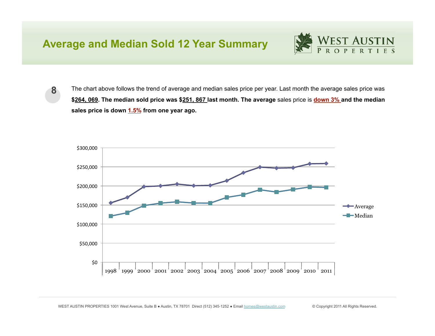#### **Average and Median Sold 12 Year Summary**



**8** The chart above follows the trend of average and median sales price per year. Last month the average sales price was **\$264, 069. The median sold price was \$251, 867 last month. The average** sales price is **down 3% and the median sales price is down 1.5% from one year ago.**

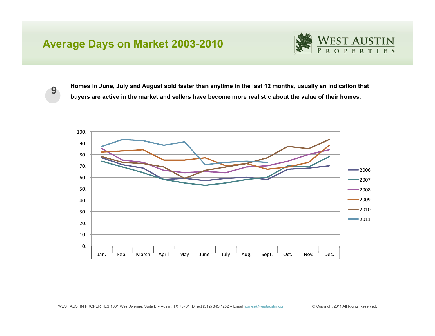### **Average Days on Market 2003-2010**



**9 Homes in June, July and August sold faster than anytime in the last 12 months, usually an indication that buyers are active in the market and sellers have become more realistic about the value of their homes.**

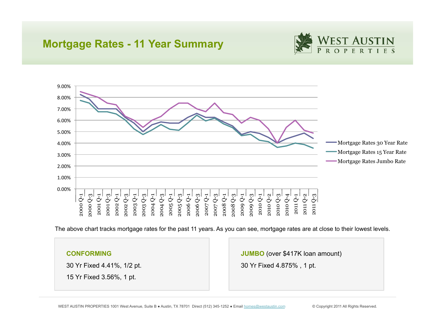#### **Mortgage Rates - 11 Year Summary**





The above chart tracks mortgage rates for the past 11 years. As you can see, mortgage rates are at close to their lowest levels.

#### **CONFORMING**

30 Yr Fixed 4.41%, 1/2 pt.

15 Yr Fixed 3.56%, 1 pt.

**JUMBO** (over \$417K loan amount)

30 Yr Fixed 4.875% , 1 pt.

WEST AUSTIN PROPERTIES 1001 West Avenue, Suite B · Austin, TX 78701 Direct (512) 345-1252 · Email homes@westaustin.com © Copyright 2011 All Rights Reserved.